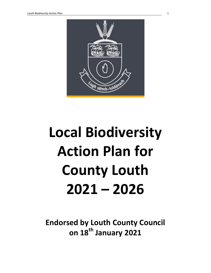

# Local Biodiversity Action Plan for County Louth 2021 – 2026

Endorsed by Louth County Council on 18<sup>th</sup> January 2021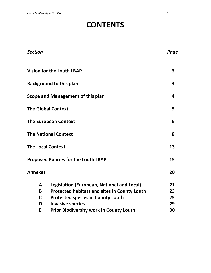# **CONTENTS**

| <b>Section</b>           |                                                                                                                                                                                                                            | Page                       |
|--------------------------|----------------------------------------------------------------------------------------------------------------------------------------------------------------------------------------------------------------------------|----------------------------|
|                          | <b>Vision for the Louth LBAP</b>                                                                                                                                                                                           | 3                          |
|                          | <b>Background to this plan</b>                                                                                                                                                                                             | 3                          |
|                          | Scope and Management of this plan                                                                                                                                                                                          | 4                          |
|                          | <b>The Global Context</b>                                                                                                                                                                                                  | 5                          |
|                          | <b>The European Context</b>                                                                                                                                                                                                | 6                          |
|                          | <b>The National Context</b>                                                                                                                                                                                                | 8                          |
| <b>The Local Context</b> |                                                                                                                                                                                                                            | 13                         |
|                          | <b>Proposed Policies for the Louth LBAP</b>                                                                                                                                                                                | 15                         |
| <b>Annexes</b>           |                                                                                                                                                                                                                            | 20                         |
| A<br>B<br>C<br>D<br>E    | Legislation (European, National and Local)<br><b>Protected habitats and sites in County Louth</b><br><b>Protected species in County Louth</b><br><b>Invasive species</b><br><b>Prior Biodiversity work in County Louth</b> | 21<br>23<br>25<br>29<br>30 |
|                          |                                                                                                                                                                                                                            |                            |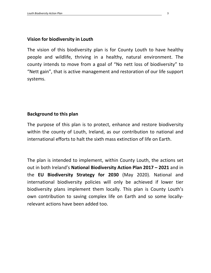# Vision for biodiversity in Louth

The vision of this biodiversity plan is for County Louth to have healthy people and wildlife, thriving in a healthy, natural environment. The county intends to move from a goal of "No nett loss of biodiversity" to "Nett gain", that is active management and restoration of our life support systems.

# Background to this plan

The purpose of this plan is to protect, enhance and restore biodiversity within the county of Louth, Ireland, as our contribution to national and international efforts to halt the sixth mass extinction of life on Earth.

The plan is intended to implement, within County Louth, the actions set out in both Ireland's National Biodiversity Action Plan 2017 – 2021 and in the EU Biodiversity Strategy for 2030 (May 2020). National and international biodiversity policies will only be achieved if lower tier biodiversity plans implement them locally. This plan is County Louth's own contribution to saving complex life on Earth and so some locallyrelevant actions have been added too.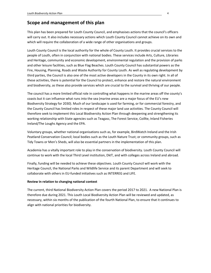# Scope and management of this plan

This plan has been prepared for Louth County Council, and emphasises actions that the council's officers will carry out. It also includes necessary actions which Louth County Council cannot achieve on its own and which will require the collaboration of a wide range of other organisations and groups.

Louth County Council is the local authority for the whole of County Louth. It provides crucial services to the people of Louth, often in conjunction with national bodies. These services include Arts, Culture, Libraries and Heritage, community and economic development, environmental regulation and the provision of parks and other leisure facilities, such as Blue Flag Beaches. Louth County Council has substantial powers as the Fire, Housing, Planning, Roads and Waste Authority for County Louth. As well as regulating development by third parties, the Council is also one of the most active developers in the County in its own right. In all of these activities, there is potential for the Council to protect, enhance and restore the natural environment and biodiversity, as these also provide services which are crucial to the survival and thriving of our people.

The council has a more limited official role in controlling what happens in the marine areas off the county's coasts but it can influence what runs into the sea (marine areas are a major focus of the EU's new Biodiversity Strategy for 2030). Much of our landscape is used for farming, or for commercial forestry, and the County Council has limited roles in respect of these major land use activities. The County Council will therefore seek to implement this Local Biodiversity Action Plan through deepening and strengthening its working relationship with State agencies such as Teagasc, The Forest Service, Coillte, Inland Fisheries Ireland/The Loughs Agency and the EPA.

Voluntary groups, whether national organisations such as, for example, BirdWatch Ireland and the Irish Peatland Conservation Council; local bodies such as the Louth Nature Trust; or community groups, such as Tidy Towns or Men's Sheds, will also be essential partners in the implementation of this plan.

Academia has a vitally important role to play in the conservation of biodiversity. Louth County Council will continue to work with the local Third Level institution, DkIT, and with colleges across Ireland and abroad.

Finally, funding will be needed to achieve these objectives. Louth County Council will work with the Heritage Council, the National Parks and Wildlife Service and its parent Department and will seek to collaborate with others in EU-funded initiatives such as INTERREG and LIFE.

#### Review in relation to changing national context

The current, third National Biodiversity Action Plan covers the period 2017 to 2021. A new National Plan is therefore due during 2021. This Louth Local Biodiversity Action Plan will be reviewed and updated, as necessary, within six months of the publication of the fourth National Plan, to ensure that it continues to align with national priorities for biodiversity.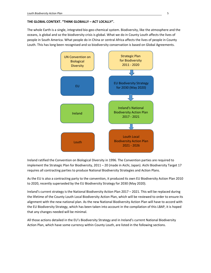#### THE GLOBAL CONTEXT. "THINK GLOBALLY – ACT LOCALLY".

The whole Earth is a single, integrated bio-geo-chemical system. Biodiversity, like the atmosphere and the oceans, is global and so the biodiversity crisis is global. What we do in County Louth affects the lives of people in South America. What people do in China or central Africa affects the lives of people in County Louth. This has long been recognised and so biodiversity conservation is based on Global Agreements.



Ireland ratified the Convention on Biological Diversity in 1996. The Convention parties are required to implement the Strategic Plan for Biodiversity, 2011 – 20 (made in Aichi, Japan). Aichi Biodiversity Target 17 requires all contracting parties to produce National Biodiversity Strategies and Action Plans.

As the EU is also a contracting party to the convention, it produced its own EU Biodiversity Action Plan 2010 to 2020, recently superseded by the EU Biodiversity Strategy for 2030 (May 2020).

Ireland's current strategy is the National Biodiversity Action Plan 2017 – 2021. This will be replaced during the lifetime of the County Louth Local Biodiversity Action Plan, which will be reviewed to order to ensure its alignment with the new national plan. As the new National Biodiversity Action Plan will have to accord with the EU Biodiversity Strategy, which has been taken into account in the compilation of this LBAP, it is hoped that any changes needed will be minimal.

All those actions detailed in the EU's Biodiversity Strategy and in Ireland's current National Biodiversity Action Plan, which have some currency within County Louth, are listed in the following sections.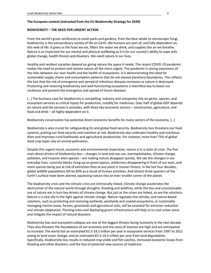#### The European context (extracted from the EU Biodiversity Strategy for 2030)

#### BIODIVERSITY – THE NEED FOR URGENT ACTION

From the world's great rainforests to small parks and gardens, from the blue whale to microscopic fungi, biodiversity is the extraordinary variety of life on Earth. We humans are part of, and fully dependent on, this web of life: it gives us the food we eat, filters the water we drink, and supplies the air we breathe. Nature is as important for our mental and physical wellbeing as it is for our society's ability to cope with global change, health threats and disasters. We need nature in our lives.

Healthy and resilient societies depend on giving nature the space it needs. The recent COVID-19 pandemic makes the need to protect and restore nature all the more urgent. The pandemic is raising awareness of the links between our own health and the health of ecosystems. It is demonstrating the need for sustainable supply chains and consumption patterns that do not exceed planetary boundaries. This reflects the fact that the risk of emergence and spread of infectious diseases increases as nature is destroyed. Protecting and restoring biodiversity and well-functioning ecosystems is therefore key to boost our resilience and prevent the emergence and spread of future diseases.

[...] The business case for biodiversity is compelling. Industry and companies rely on genes, species, and ecosystem services as critical inputs for production, notably for medicines. Over half of global GDP depends on nature and the services it provides, with three key economic sectors – construction, agriculture, and food and drink – all highly dependent on it.

Biodiversity conservation has potential direct economic benefits for many sectors of the economy. […]

Biodiversity is also crucial for safeguarding EU and global food security. Biodiversity loss threatens our food systems, putting our food security and nutrition at risk. Biodiversity also underpins healthy and nutritious diets and improves rural livelihoods and agricultural productivity. For instance, more than 75% of global food crop types rely on animal pollination.

Despite this urgent moral, economic and environmental imperative, nature is in a state of crisis. The five main direct drivers of biodiversity loss – changes in land and sea use, overexploitation, climate change, pollution, and invasive alien species – are making nature disappear quickly. We see the changes in our everyday lives: concrete blocks rising up on green spaces, wilderness disappearing in front of our eyes, and more species being put at risk of extinction than at any point in human history. In the last four decades, global wildlife populations fell by 60% as a result of human activities. And almost three quarters of the Earth's surface have been altered, squeezing nature into an ever-smaller corner of the planet.

The biodiversity crisis and the climate crisis are intrinsically linked. Climate change accelerates the destruction of the natural world through droughts, flooding and wildfires, while the loss and unsustainable use of nature are in turn key drivers of climate change. But just as the crises are linked, so are the solutions. Nature is a vital ally in the fight against climate change. Nature regulates the climate, and nature-based solutions, such as protecting and restoring wetlands, peatlands and coastal ecosystems, or sustainably managing marine areas, forests, grasslands and agricultural soils, will be essential for emission reduction and climate adaptation. Planting trees and deploying green infrastructure will help us to cool urban areas and mitigate the impact of natural disasters.

Biodiversity loss and ecosystem collapse are one of the biggest threats facing humanity in the next decade. They also threaten the foundations of our economy and the costs of inaction are high and are anticipated to increase. The world lost an estimated €3.5-18.5 trillion per year in ecosystem services from 1997 to 2011 owing to land-cover change, and an estimated €5.5-10.5 trillion per year from land degradation. Specifically, biodiversity loss results in reduced crop yields and fish catches, increased economic losses from flooding and other disasters, and the loss of potential new sources of medicine.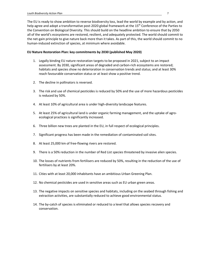The EU is ready to show ambition to reverse biodiversity loss, lead the world by example and by action, and help agree and adopt a transformative post-2020 global framework at the 15<sup>th</sup> Conference of the Parties to the Convention on Biological Diversity. This should build on the headline ambition to ensure that by 2050 all of the world's ecosystems are restored, resilient, and adequately protected. The world should commit to the net-gain principle to give nature back more than it takes. As part of this, the world should commit to no human-induced extinction of species, at minimum where avoidable.

#### EU Nature Restoration Plan: key commitments by 2030 (published May 2020)

- 1. Legally binding EU nature restoration targets to be proposed in 2021, subject to an impact assessment. By 2030, significant areas of degraded and carbon-rich ecosystems are restored; habitats and species show no deterioration in conservation trends and status; and at least 30% reach favourable conservation status or at least show a positive trend.
- 2. The decline in pollinators is reversed.
- 3. The risk and use of chemical pesticides is reduced by 50% and the use of more hazardous pesticides is reduced by 50%.
- 4. At least 10% of agricultural area is under high-diversity landscape features.
- 5. At least 25% of agricultural land is under organic farming management, and the uptake of agroecological practices is significantly increased.
- 6. Three billion new trees are planted in the EU, in full respect of ecological principles.
- 7. Significant progress has been made in the remediation of contaminated soil sites.
- 8. At least 25,000 km of free-flowing rivers are restored.
- 9. There is a 50% reduction in the number of Red List species threatened by invasive alien species.
- 10. The losses of nutrients from fertilisers are reduced by 50%, resulting in the reduction of the use of fertilisers by at least 20%.
- 11. Cities with at least 20,000 inhabitants have an ambitious Urban Greening Plan.
- 12. No chemical pesticides are used in sensitive areas such as EU urban green areas.
- 13. The negative impacts on sensitive species and habitats, including on the seabed through fishing and extraction activities, are substantially reduced to achieve good environmental status.
- 14. The by-catch of species is eliminated or reduced to a level that allows species recovery and conservation.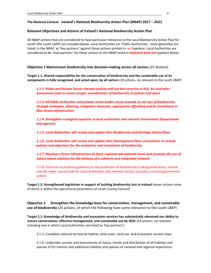#### The National Context - Ireland's National Biodiversity Action Plan (NBAP) 2017 – 2021

#### Relevant Objectives and Actions of Ireland's National Biodiversity Action Plan

All NBAP actions that are considered to have particular relevance to the Local Biodiversity Action Plan for Louth (the Louth LBAP) are included below. Local Authorities (or 'Public Authorities', more generally) are listed, in the NBAP, as 'key partners' against those actions printed in red typeface. Local Authorities are considered to be 'lead partners' for those actions in the NBAP listed in *Italicised bold red* typeface below.

Objective 1 Mainstream biodiversity into decision-making across all sectors (25 Actions)

Target 1.1: Shared responsibility for the conservation of biodiversity and the sustainable use of its components is fully recognised, and acted upon, by all sectors (18 actions, six relevant to the Louth LBAP)

1.1.2. Public and Private Sector relevant policies will use best practice in SEA, AA and other assessment tools to ensure proper consideration of biodiversity in policies and plans

1.1.3. All Public Authorities and private sector bodies move towards no net loss of biodiversity through strategies, planning, mitigation measures, appropriate offsetting and/or investment in Blue-Green infrastructure

1.1.4. Strengthen ecological expertise in local authorities and relevant Government Departments and agencies

1.1.5. Local Authorities will review and update their Biodiversity and Heritage Action Plans

1.1.6. Local Authorities will review and update their Development Plans and policies to include policies and objectives for the protection and restoration of biodiversity

1.1.7. Develop a Green Infrastructure at local, regional and national levels and promote the use of nature based solutions for the delivery of a coherent and integrated network

1.1.8. Continue to produce guidance on the protection of biodiversity in designated areas, marine and the wider countryside for Local Authorities and relevant sectors (actually a central government action)

Target 1.2: Strengthened legislation in support of tackling biodiversity loss in Ireland (seven actions none of which is within the operational parameters of Louth County Council)

Objective 2 Strengthen the knowledge base for conservation, management, and sustainable use of biodiversity (24 actions, of which the following have some relevance to the Louth LBAP)

Target 2.1: Knowledge of biodiversity and ecosystem services has substantially advanced our ability to ensure conservation, effective management, and sustainable use by 2021 (24 actions, six relevant, including one in which Local Authorities are listed as 'key partners')

2.1.3. Complete national terrestrial habitat, land cover, land use, and ecosystem service maps

2.1.6. Undertake surveys and assessments of status, trends and distribution of all habitats and species of EU interest and additional habitats and species of national and regional importance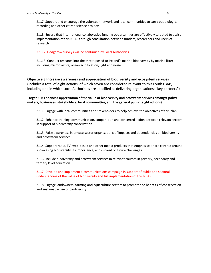2.1.7. Support and encourage the volunteer network and local communities to carry out biological recording and other citizen science projects

2.1.8. Ensure that international collaborative funding opportunities are effectively targeted to assist implementation of this NBAP through consultation between funders, researchers and users of research

2.1.12. Hedgerow surveys will be continued by Local Authorities

2.1.18. Conduct research into the threat posed to Ireland's marine biodiversity by marine litter including microplastics, ocean acidification, light and noise

#### Objective 3 Increase awareness and appreciation of biodiversity and ecosystem services

(includes a total of eight actions, of which seven are considered relevant to this Louth LBAP, including one in which Local Authorities are specified as delivering organisations; "key partners")

Target 3.1: Enhanced appreciation of the value of biodiversity and ecosystem services amongst policy makers, businesses, stakeholders, local communities, and the general public (eight actions)

3.1.1. Engage with local communities and stakeholders to help achieve the objectives of this plan

3.1.2. Enhance training, communication, cooperation and concerted action between relevant sectors in support of biodiversity conservation

3.1.3. Raise awareness in private sector organisations of impacts and dependencies on biodiversity and ecosystem services

3.1.4. Support radio, TV, web-based and other media products that emphasise or are centred around showcasing biodiversity, its importance, and current or future challenges

3.1.6. Include biodiversity and ecosystem services in relevant courses in primary, secondary and tertiary level education

3.1.7. Develop and implement a communications campaign in support of public and sectoral understanding of the value of biodiversity and full implementation of this NBAP

3.1.8. Engage landowners, farming and aquaculture sectors to promote the benefits of conservation and sustainable use of biodiversity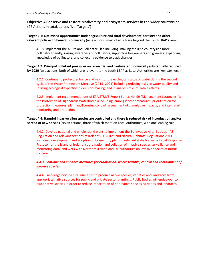Objective 4 Conserve and restore biodiversity and ecosystem services in the wider countryside (27 Actions in total, across five 'Targets')

Target 4.1: Optimised opportunities under agriculture and rural development, forestry and other relevant policies to benefit biodiversity (nine actions, most of which are beyond the Louth LBAP's remit

4.1.8. Implement the All-Ireland Pollinator Plan including: making the Irish countryside more pollinator friendly; raising awareness of pollinators; supporting beekeepers and growers; expanding knowledge of pollinators; and collecting evidence to track changes

Target 4.2: Principal pollutant pressures on terrestrial and freshwater biodiversity substantially reduced by 2020 (two actions, both of which are relevant to the Louth LBAP as Local Authorities are 'key partners')

4.2.1. Continue to protect, enhance and monitor the ecological status of water during the second cycle of the Water Framework Directive (2015- 2021) including reducing risks to water quality and utilising ecological expertise in decision-making, and in analysis of cumulative effects

4.2.3. Implement recommendations of EPA STRIVE Report Series No. 99 (Management Strategies for the Protection of High Status Waterbodies) including, amongst other measures: prioritisation for protection measures; planning/licensing control; assessment of cumulative impacts; and integrated monitoring and protection

Target 4.4: Harmful invasive alien species are controlled and there is reduced risk of introduction and/or spread of new species (seven actions, three of which mention Local Authorities, with one leading role)

4.4.2. Develop national and whole island plans to implement the EU Invasive Alien Species (IAS) Regulation and relevant sections of Ireland's EU (Birds and Natural Habitats) Regulations 2011 including: development and adoption of biosecurity plans in relevant state bodies; a Rapid Response Protocol for the island of Ireland; coordination and collation of invasive species surveillance and monitoring data; and work with Northern Ireland and UK authorities on invasive species of mutual concern

#### 4.4.3. Continue and enhance measures for eradication, where feasible, control and containment of invasive species

4.4.4. Encourage horticultural nurseries to produce native species, varieties and landraces from appropriate native sources for public and private sector plantings. Public bodies will endeavour to plant native species in order to reduce importation of non-native species, varieties and landraces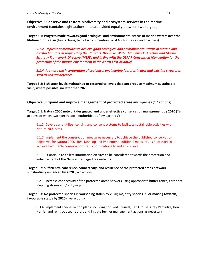Objective 5 Conserve and restore biodiversity and ecosystem services in the marine environment (contains eight actions in total, divided equally between two targets)

Target 5.1: Progress made towards good ecological and environmental status of marine waters over the lifetime of this Plan (four actions, two of which mention Local Authorities as lead partners)

5.1.2. Implement measures to achieve good ecological and environmental status of marine and coastal habitats as required by the Habitats, Directive, Water Framework Directive and Marine Strategy Framework Directive (MSFD) and in line with the OSPAR Convention (Convention for the protection of the marine environment in the North-East Atlantic)

5.1.4. Promote the incorporation of ecological engineering features in new and existing structures such as coastal defences

Target 5.2: Fish stock levels maintained or restored to levels that can produce maximum sustainable yield, where possible, no later than 2020

Objective 6 Expand and improve management of protected areas and species (17 actions)

Target 6.1: Natura 2000 network designated and under effective conservation management by 2020 (Ten actions, of which two specify Local Authorities as 'key partners')

6.1.2. Develop and utilise licensing and consent systems to facilitate sustainable activities within Natura 2000 sites

6.1.7. Implement the conservation measures necessary to achieve the published conservation objectives for Natura 2000 sites. Develop and implement additional measures as necessary to achieve favourable conservation status both nationally and at site level

6.1.10. Continue to collect information on sites to be considered towards the protection and enhancement of the Natural Heritage Area network

#### Target 6.2: Sufficiency, coherence, connectivity, and resilience of the protected areas network substantially enhanced by 2020 (two actions)

6.2.1. Increase connectivity of the protected areas network using appropriate buffer zones, corridors, stepping stones and/or flyways

#### Target 6.3: No protected species in worsening status by 2020; majority species in, or moving towards, favourable status by 2020 (five actions)

6.3.4. Implement species action plans, including for: Red Squirrel, Red Grouse, Grey Partridge, Hen Harrier and reintroduced raptors and initiate further management actions as necessary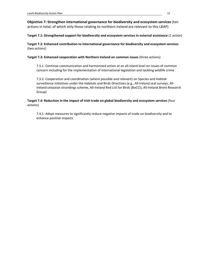Objective 7: Strengthen international governance for biodiversity and ecosystem services (ten actions in total, of which only those relating to northern Ireland are relevant to this LBAP)

Target 7.1: Strengthened support for biodiversity and ecosystem services in external assistance (1 action)

Target 7.2: Enhanced contribution to international governance for biodiversity and ecosystem services (two actions)

Target 7.3: Enhanced cooperation with Northern Ireland on common issues (three actions)

7.3.1. Continue communication and harmonized action at an all-island level on issues of common concern including for the implementation of international legislation and tackling wildlife crime

7.3.2. Cooperation and coordination (where possible and relevant) on Species and Habitat surveillance initiatives under the Habitats and Birds Directives (e.g., All-Ireland seal surveys, All-Ireland cetacean strandings scheme, All-Ireland Red List for Birds (BoCCI), All-Ireland Brent Research Group)

Target 7.4: Reduction in the impact of Irish trade on global biodiversity and ecosystem services (four actions)

7.4.1. Adopt measures to significantly reduce negative impacts of trade on biodiversity and to enhance positive impacts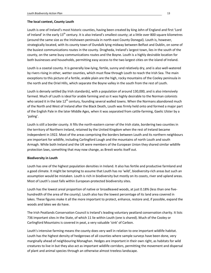#### The local context, County Louth

Louth is one of Ireland's most historic counties, having been created by king John of England and first 'Lord of Ireland' in the early 13<sup>th</sup> century. It is also Ireland's smallest county; at a little over 800 square kilometres (around the same size as the Inishowen peninsula in north-east County Donegal). Louth is, however, strategically located, with its county town of Dundalk lying midway between Belfast and Dublin, on some of the busiest communications routes in the county. Drogheda, Ireland's largest town, lies in the south of the county, on the same busy communications routes and the Boyne. Louth is a highly desirable location for both businesses and households, permitting easy access to the two largest cities on the island of Ireland.

Louth is a coastal county. It is generally low-lying, fertile, sunny and relatively dry, and is also well-watered by rivers rising in other, wetter counties, which must flow through Louth to reach the Irish Sea. The main exceptions to this picture of a fertile, arable plain are the high, rocky mountains of the Cooley peninsula in the north and the Oriel Hills, which separate the Boyne valley in the south from the rest of Louth.

Louth is densely settled (by Irish standards), with a population of around 130,000, and is also intensively farmed. Much of Louth is ideal for arable farming and so it was highly desirable to the Norman colonists who seized it in the late 12<sup>th</sup> century, founding several walled towns. When the Normans abandoned much of the North and West of Ireland after the Black Death, Louth was firmly held onto and formed a major part of the English Pale in the later Middle Ages, when it was separated from cattle-farming, Gaelic Ulster by a 'paling'.

Louth is still a border county. It fills the north-eastern corner of the Irish state, bordering two counties in the territory of Northern Ireland, retained by the United Kingdom when the rest of Ireland became independent in 1922. Most of the areas comprising the borders between Louth and its northern neighbours are important for wildlife, including Carlingford Lough and the mountains of north Louth and south Armagh. While both Ireland and the UK were members of the European Union they shared similar wildlife protection laws, something that may now change, as Brexit works itself out.

#### Biodiversity in Louth

Louth has one of the highest population densities in Ireland. It also has fertile and productive farmland and a good climate. It might be tempting to assume that Louth has no 'wild', biodiversity-rich areas but such an assumption would be mistaken. Louth is rich in biodiversity but mostly on its coasts, river and upland areas. Most of Louth's coast falls within European-protected biodiversity sites.

Louth has the lowest areal proportion of native or broadleaved woods, at just 0.18% (less than one fivehundredth of the area of the county). Louth also has the lowest percentage of its land area covered in lakes. These figures make it all the more important to protect, enhance, restore and, if possible, expand the woods and lakes we do have.

The Irish Peatlands Conservation Council is Ireland's leading voluntary peatland conservation charity. It lists 736 important sites in the State, of which 11 lie within Louth (one is shared). Much of the Cooley or Carlingford Mountains is covered in peat, a very valuable 'sink' of Carbon.

Louth's intensive farming means the county does very well in relation to one important wildlife habitat. Louth has the highest density of hedgerows of all counties where sample surveys have been done, very marginally ahead of neighbouring Monaghan. Hedges are important in their own right, as habitats for wild creatures to live in but they also act as important wildlife corridors, permitting the movement and dispersal of plant and animal species through an otherwise almost treeless landscape.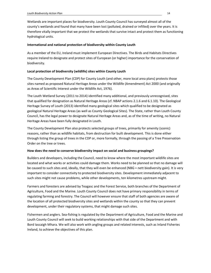Wetlands are important places for biodiversity. Louth County Council has surveyed almost all of the county's wetlands and found that many have been lost (polluted, drained or infilled) over the years. It is therefore vitally important that we protect the wetlands that survive intact and protect them as functioning hydrological units.

#### International and national protection of biodiversity within County Louth

As a member of the EU, Ireland must implement European Directives. The Birds and Habitats Directives require Ireland to designate and protect sites of European (or higher) importance for the conservation of biodiversity.

#### Local protection of biodiversity (wildlife) sites within County Louth

The County Development Plan (CDP) for County Louth (and other, more local area plans) protects those sites named as proposed Natural Heritage Areas under the Wildlife (Amendment) Act 2000 (and originally as Areas of Scientific Interest under the Wildlife Act, 1976).

The Louth Wetland Survey (2011 to 2014) identified many additional, and previously unrecognised, sites that qualified for designation as Natural Heritage Areas (cf. NBAP actions 2.1.6 and 6.1.10). The Geological Heritage Survey of Louth (2013) identified many geological sites which qualified to be designated as geological Natural Heritage Areas (as well as County Geological Sites). The State, rather than Louth County Council, has the legal power to designate Natural Heritage Areas and, as of the time of writing, no Natural Heritage Areas have been fully designated in Louth.

The County Development Plan also protects selected groups of trees, primarily for amenity (scenic) reasons, rather than as wildlife habitats, from destruction for built development. This is done either through listing the group of trees in the CDP or, more formally, through the passing of a Tree Preservation Order on the tree or trees.

#### How does the need to conserve biodiversity impact on social and business groupings?

Builders and developers, including the Council, need to know where the most important wildlife sites are located and what works or activities could damage them. Works need to be planned so that no damage will be caused to such sites and, ideally, that they will even be enhanced (NBG = nett biodiversity gain). It is very important to consider connectivity to protected biodiversity sites. Development immediately adjacent to such sites might not cause problems, while other developments, ten kilometres upstream might.

Farmers and foresters are advised by Teagasc and the Forest Service, both branches of the Department of Agriculture, Food and the Marine. Louth County Council does not have primary responsibility in terms of regulating farming and forestry. The Council will however ensure that staff of both agencies are aware of the location of all protected biodiversity sites and wetlands within the county so that they can prevent development, under their regulatory systems, that might damage such sites.

Fishermen and anglers. Sea-fishing is regulated by the Department of Agriculture, Food and the Marine and Louth County Council will seek to build working relationships with that side of the Department and with Bord Iascaigh Mhara. We will also work with angling groups and related interests, such as Inland Fisheries Ireland, to achieve the objectives of this plan.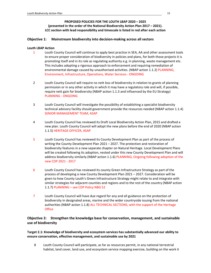#### PROPOSED POLICIES FOR THE LOUTH LBAP 2020 – 2025 (presented in the order of the National Biodiversity Action Plan 2017 – 2021). LCC section with lead responsibility and timescale is listed in red after each action

#### Objective 1: Mainstream biodiversity into decision-making across all sectors

#### Louth LBAP Action

- 1 Louth County Council will continue to apply best practice in SEA, AA and other assessment tools to ensure proper consideration of biodiversity in policies and plans, for both those projects it is promoting itself and in its role as regulating authority e.g. in planning, waste management etc. This includes adopting a rigorous approach to enforcement and requiring remediation of environmental damage caused by unauthorised activities. (NBAP action 1.1.2) PLANNING, Environment, Infrastructure, Operations, Water Services - ONGOING
- 2 Louth County Council will require no nett loss of biodiversity in relation to grants of planning permission or in any other activity in which it may have a regulatory role and will, if possible, require nett gain for biodiversity (NBAP action 1.1.3 and influenced by the EU Strategy) PLANNING - ONGOING
- 3 Louth County Council will investigate the possibility of establishing a specialist biodiversity technical advisory facility should government provide the resources needed (NBAP action 1.1.4) SENIOR MANAGEMENT TEAM, ASAP
- 4 Louth County Council has reviewed its Draft Local Biodiversity Action Plan, 2015 and drafted a new plan. Louth County Council will adopt the new plans before the end of 2020 (NBAP action 1.1.5) HERITAGE OFFICER, ASAP
- 5 Louth County Council has reviewed its County Development Plan as part of the process of writing the County Development Plan 2021 – 2027. The protection and restoration of biodiversity features in a new separate chapter on Natural Heritage. Local Development Plans will be created following its adoption, nested under this new County Development Plan and will address biodiversity similarly (NBAP action 1.1.6) PLANNING, Ongoing following adoption of the new CDP 2021 - 2017
- 6 Louth County Council has reviewed its county Green Infrastructure Strategy as part of the process of developing a new County Development Plan 2021 – 2027. Consideration will be given to how County Louth's Green Infrastructure Strategy might relate to and integrate with similar strategies for adjacent counties and regions and to the rest of the country (NBAP action 1.1.7) PLANNING – see CDP Policy NBG 52
- 7 Louth County Council will have due regard for any and all guidance on the protection of biodiversity in designated areas, marine and the wider countryside issuing from the national authorities (NBAP action 1.1.8) ALL TECHNICAL SECTIONS, with the support of the Heritage **Office**

#### Objective 2: Strengthen the knowledge base for conservation, management, and sustainable use of biodiversity

Target 2.1: Knowledge of biodiversity and ecosystem services has substantially advanced our ability to ensure conservation, effective management, and sustainable use by 2021

8 Louth County Council will participate, as far as resources permit, in any national terrestrial habitat, land cover, land use, and ecosystem service mapping exercise, building on the work it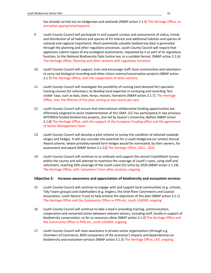has already carried out on hedgerows and wetlands (NBAP action 2.1.3) The Heritage Office, as and when appropriate/required

- 9 Louth County Council will participate in and support surveys and assessments of status, trends and distribution of all habitats and species of EU interest and additional habitats and species of national and regional importance. Much potentially valuable biodiversity data is generated through the planning and other regulatory processes. Louth County Council will require that applicants submit copies of any ecological assessments, requested by it as part of its regulatory function, to the National Biodiversity Data Centre too, in a suitable format. (NBAP action 2.1.6) The Heritage Office, Planning and other sections with regulatory functions
- 10 Louth County Council will support, train and encourage staff, local communities and volunteers to carry out biological recording and other citizen science/conservation projects (NBAP action 2.1.7) The Heritage Office, with the cooperation of other sections
- 11 Louth County Council will investigate the possibility of running (and demand for) specialist training courses for volunteers, to develop local expertise in surveying and recording 'less visible' taxa, such as bats, bees, herps, mosses, liverworts (NBAP action 2.1.7). The Heritage Office, over the lifetime of this plan, aiming at one course per year
- 12 Louth County Council will ensure that international collaborative funding opportunities are effectively targeted to assist implementation of this LBAP. LCC has participated in two previous INTERREG-funded biodiversity projects, one led by Queen's University, Belfast (NBAP action 2.1.8) The Heritage Office, with the support of the European Funding office and the agreement of Senior Management Team
- 13 Louth County Council will develop a pilot scheme to survey the condition of selected roadside verges and hedges. It will also consider the potential for a Louth Hedgerow (or similar) Annual Award scheme, where privately-owned farm hedges would be nominated, by their owners, for assessment and award (NBAP Action 2.1.12) The Heritage Office, 2021 - 2022
- 14 Louth County Council will continue to co-ordinate and support the annual CoastWatch Survey within the county and will attempt to maximise the coverage of Louth's coast, using staff and volunteers, reaching 20% coverage of the Louth coast (52 units) by 2026 (NBAP action 2.1.18) The Heritage Office, with 'volunteers' from other sections, ongoing

#### Objective 3: Increase awareness and appreciation of biodiversity and ecosystem services

- 15 Louth County Council will continue to engage with and support local communities (e.g. schools, Tidy Towns groups) and stakeholders (e.g. Anglers, the Oriel River Catchments and Coastal Association, Louth Nature Trust) to help achieve the objectives of this plan (NBAP action 3.1.1) The Heritage Office and the Community Office re PPN etc, Louth LEADER, ongoing
- 16 Louth County Council will continue to take a lead in providing training, communication, cooperation and concerted action between relevant sectors, including staff, locally in support of biodiversity conservation, so far as resources allow (NBAP action 3.1.2) The Heritage Office and the Community Office re PPN etc, Louth LEADER, ongoing
- 17 Louth County Council will raise awareness in private sector organisations (through e.g. Chambers of Commerce, BIDS companies) of the economy's impacts and dependencies on biodiversity and ecosystem services (NBAP action 3.1.3) The Heritage Office, LEO, ongoing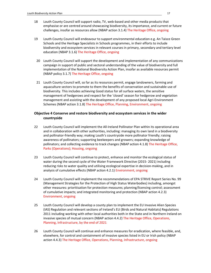- 18 Louth County Council will support radio, TV, web-based and other media products that emphasise or are centred around showcasing biodiversity, its importance, and current or future challenges, insofar as resources allow (NBAP action 3.1.4) The Heritage Office, ongoing
- 19 Louth County Council will endeavour to support environmental education e.g. An Taisce Green Schools and the Heritage Specialists in Schools programmes, in their efforts to include biodiversity and ecosystem services in relevant courses in primary, secondary and tertiary level education (NBAP 3.1.6) The Heritage Office, ongoing
	- 20 Louth County Council will support the development and implementation of any communications campaign in support of public and sectoral understanding of the value of biodiversity and full implementation of the National Biodiversity Action Plan, insofar as available resources permit (NBAP policy 3.1.7) The Heritage Office, ongoing
	- 21 Louth County Council will, so far as its resources permit, engage landowners, farming and aquaculture sectors to promote to them the benefits of conservation and sustainable use of biodiversity. This includes achieving Good status for all surface waters, the sensitive management of hedgerows and respect for the 'closed' season for hedgerow and vegetation management and assisting with the development of any proposed local Agri-Environment Schemes (NBAP action 3.1.8) The Heritage Office, Planning, Environment, ongoing

#### Objective 4 Conserve and restore biodiversity and ecosystem services in the wider countryside

- 22 Louth County Council will implement the All-Ireland Pollinator Plan within its operational area and in collaboration with other authorities, including: managing its own land in a biodiversity and pollinator-friendly way; making Louth's countryside more pollinator friendly; raising awareness of pollinators; supporting beekeepers and growers; expanding knowledge of pollinators; and collecting evidence to track changes (NBAP action 4.1.8) The Heritage Office, Parks (Operations); Housing, ongoing
- 23 Louth County Council will continue to protect, enhance and monitor the ecological status of water during the second cycle of the Water Framework Directive (2015- 2021) including reducing risks to water quality and utilising ecological expertise in decision-making, and in analysis of cumulative effects (NBAP action 4.2.1) Environment, ongoing
- 24 Louth County Council will implement the recommendations of EPA STRIVE Report Series No. 99 (Management Strategies for the Protection of High Status Waterbodies) including, amongst other measures: prioritisation for protection measures; planning/licensing control; assessment of cumulative impacts; and integrated monitoring and protection (NBAP action 4.2.3) Environment, ongoing
- 25 Louth County Council will develop a county plan to implement the EU Invasive Alien Species (IAS) Regulation and relevant sections of Ireland's EU (Birds and Natural Habitats) Regulations 2011 including working with other local authorities both in the State and in Northern Ireland on invasive species of mutual concern (NBAP action 4.4.2) The Heritage Office, Operations, Planning, Infrastructure, by the end of 2021
- 26 Louth County Council will continue and enhance measures for eradication, where feasible, and, elsewhere, for control and containment of invasive species listed in EU or Irish policy (NBAP action 4.4.3) The Heritage Office, Operations, Planning, Infrastructure, ongoing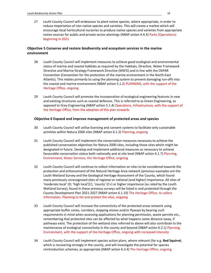27 Louth County Council will endeavour to plant native species, where appropriate, in order to reduce importation of non-native species and varieties. This will create a market which will encourage local horticultural nurseries to produce native species and varieties from appropriate native sources for public and private sector plantings (NBAP action 4.4.4) Parks (Operations) beginning in 2021

#### Objective 5 Conserve and restore biodiversity and ecosystem services in the marine environment

- 28 Louth County Council will implement measures to achieve good ecological and environmental status of marine and coastal habitats as required by the Habitats, Directive, Water Framework Directive and Marine Strategy Framework Directive (MSFD) and in line with the OSPAR Convention (Convention for the protection of the marine environment in the North-East Atlantic). This relates primarily to using the planning system to prevent damaging run-offs into the coastal and marine environment (NBAP action 5.1.2) PLANNING, with the support of the Heritage Office, ongoing
- 29 Louth County Council will promote the incorporation of ecological engineering features in new and existing structures such as coastal defences. This is referred to as Green Engineering, as opposed to Grey Engineering (NBAP action 5.1.4) Operations, Infrastructure, with the support of the Heritage Office, from the adoption of this plan onwards

#### Objective 6 Expand and improve management of protected areas and species

- 30 Louth County Council will utilise licensing and consent systems to facilitate only sustainable activities within Natura 2000 sites (NBAP action 6.1.2) Planning, ongoing
- 31 Louth County Council will implement the conservation measures necessary to achieve the published conservation objectives for Natura 2000 sites, including those sites which might be designated in future. Develop and implement additional measures as necessary to achieve favourable conservation status both nationally and at site level (NBAP action 6.1.7) Planning, Environment, Water Services, the Heritage Office, ongoing
- 32 Louth County Council will continue to collect information on sites to be considered towards the protection and enhancement of the Natural Heritage Area network (previous examples are the Louth Wetland Survey and the Geological Heritage Assessment of the County, which found many previously unrecognised sites of regional or national (and higher) importance. All sites of 'moderate local' (D; 'high local'(C), 'county' (C+) or higher importance (as rated by the Louth Wetland Survey), found in these previous surveys will be listed in and protected through the County Development Plan 2021-2027 (NBAP action 6.1.10) The Heritage Office, to collect information. Planning to list and protect the sites, ongoing
- 33 Louth County Council will increase the connectivity of the protected areas network using appropriate buffer zones, corridors, stepping stones and/or flyways by bearing such requirements in mind when assessing applications for planning permission, waste permits etc., remembering that protected sites can be affected by what happens some distance away, if pathways exist. The protection of the wetland sites referred to above will also contribute to the maintenance of ecological connectivity in the county and beyond (NBAP action 6.2.1) Planning, Environment, with the support of the Heritage Office, ongoing with increased intensity
- 34 Louth County Council will implement species action plans, where relevant (for e.g. Red Squirrel, which is recovering strongly in the county, and will investigate the potential for species reintroduction schemes, as appropriate (NBAP action 6.3.4) The Heritage Office, ongoing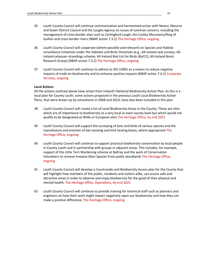- 35 Louth County Council will continue communication and harmonized action with Newry, Mourne and Down District Council and the Loughs Agency on issues of common concern, including the management of cross-border sites such as Carlingford Lough, the Cooley Mountains/Ring of Gullion and cross-border rivers (NBAP action 7.3.1) The Heritage Office, ongoing
- 36 Louth County Council will cooperate (where possible and relevant) on Species and Habitat surveillance initiatives under the Habitats and Birds Directives (e.g., All-Ireland seal surveys, All-Ireland cetacean strandings scheme, All-Ireland Red List for Birds (BoCCI), All-Ireland Brent Research Group) (NBAP action 7.3.2) The Heritage Office, ongoing
- 37 Louth County Council will continue to adhere to ISO 14001 as a means to reduce negative impacts of trade on biodiversity and to enhance positive impacts (NBAP action 7.4.1) Corporate Services, ongoing

#### Local Actions

All the actions outlined above have arisen from Ireland's National Biodiversity Action Plan. As this is a local plan for County Louth, some actions proposed in the previous Louth Local Biodiversity Action Plans, that were drawn up by consultants in 2008 and 2014, have also been included in this plan

- 38 Louth County Council will create a list of Local Biodiversity Areas in the County. These are sites which are of importance to biodiversity at a very local or even county level but which would not qualify to be designated as NHAs or European sites The Heritage Office, by end 2021
- 39 Louth County Council will support the surveying of bats and birds of various species and the manufacture and erection of bat roosting and bird nesting boxes, where appropriate The Heritage Office, ongoing
- 40 Louth County Council will continue to support practical biodiversity conservation by local people in County Louth and in partnership with groups in adjacent areas. This includes, for example, support of the Little Tern Wardening scheme at Baltray and the work of Conservation Volunteers to remove Invasive Alien Species from public woodlands The Heritage Office, ongoing
- 41 Louth County Council will develop a Countryside and Biodiversity Access plan for the County that will highlight how members of the public, residents and visitors alike, can access safe and attractive areas in order to observe and enjoy biodiversity for the good of their physical and mental health. The Heritage Office, Operations, by end 2021
- 42 Louth County Council will continue to provide training for technical staff such as planners and engineers on how their work might impact negatively upon our biodiversity and how they can make a positive difference, The Heritage Office, ongoing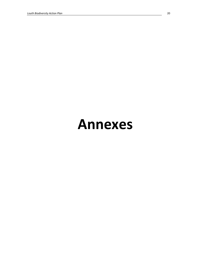# Annexes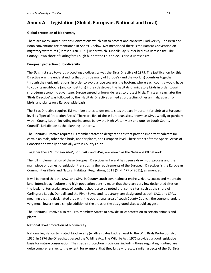# Annex A Legislation (Global, European, National and Local)

#### Global protection of biodiversity

There are many United Nations Conventions which aim to protect and conserve Biodiversity. The Bern and Bonn conventions are mentioned in Annex B below. Not mentioned there is the Ramsar Convention on migratory waterbirds (Ramsar, Iran, 1971) under which Dundalk Bay is inscribed as a Ramsar site. The County Down shore of Carlingford Lough but not the Louth side, is also a Ramsar site.

#### European protection of biodiversity

The EU's first step towards protecting biodiversity was the Birds Directive of 1979. The justification for this Directive was the understanding that birds tie many of Europe's (and the world's) countries together, through their epic migrations. In order to avoid a race towards the bottom, where each country would have to copy its neighbours (and competitors) if they destroyed the habitats of migratory birds in order to gain short-term economic advantage, Europe agreed union-wide rules to protect birds. Thirteen years later the 'Birds Directive' was followed by the 'Habitats Directive', aimed at protecting other animals, apart from birds, and plants on a Europe-wide basis.

The Birds Directive requires EU member states to designate sites that are important for birds at a European level as 'Special Protection Areas'. There are five of these European sites, known as SPAs, wholly or partially within County Louth, including marine areas below the High Water Mark and outside Louth County Council's jurisdiction as the planning authority.

The Habitats Directive requires EU member states to designate sites that provide important habitats for certain animals, other than birds, and for plants, at a European level. There are six of these Special Areas of Conservation wholly or partially within County Louth.

Together these 'European sites', both SACs and SPAs, are known as the Natura 2000 network.

The full implementation of these European Directives in Ireland has been a drawn-out process and the main piece of domestic legislation transposing the requirements of the European Directives is the European Communities (Birds and Natural Habitats) Regulations, 2011 (SI Nr 477 of 2011), as amended.

It will be noted that the SACs and SPAs in County Louth cover, almost entirely, rivers, coasts and mountain land. Intensive agriculture and high population density mean that there are very few designated sites on the lowland, terrestrial areas of Louth. It should also be noted that some sites, such as the shore of Carlingford Lough, Dundalk and the River Boyne and its estuary, are designated as both SACs and SPAs, meaning that the designated area with the operational area of Louth County Council, the county's land, is very much lower than a simple addition of the areas of the designated sites would suggest.

The Habitats Directive also requires Members States to provide strict protection to certain animals and plants.

#### National level protection of biodiversity

National legislation to protect biodiversity (wildlife) dates back at least to the Wild Birds Protection Act 1930. In 1976 the Oireachtas passed the Wildlife Act. The Wildlife Act, 1976 provided a good legislative basis for nature conservation. The species protection provisions, including those regulating hunting, are quite comprehensive, to the extent, for example, that they largely foresaw similar aspects of the EU Birds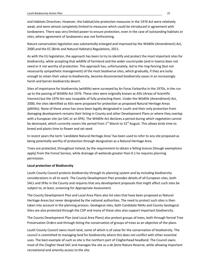and Habitats Directives. However, the habitat/site protection measures in the 1976 Act were relatively weak, and were almost completely limited to measures which could be introduced in agreement with landowners. There was very limited power to ensure protection, even in the case of outstanding habitats or sites, where agreement of landowners was not forthcoming.

Nature conservation legislation was substantially enlarged and improved by the Wildlife (Amendment) Act, 2000 and the EC (Birds and Natural Habitats) Regulations, 2011.

As with the EU legislation, the approach has been to try to identify and protect the most important sites for biodiversity, while accepting that wildlife of farmland and the wider countryside (and in towns) does not need or it not worthy of protection. This approach has, unfortunately, led to the ring-fencing (but not necessarily sympathetic management) of the most biodiverse sites, which gradually, if they are lucky enough to retain their value to biodiversity, become disconnected biodiversity oases in an increasingly harsh and barren biodiversity desert.

Sites of importance for biodiversity (wildlife) were surveyed by An Foras Forbartha in the 1970s, in the run up to the passing of Wildlife Act 1976. These sites were originally known as ASIs (Areas of Scientific Interest) but the 1976 Act was incapable of fully protecting them. Under the Wildlife (Amendment) Act, 2000, the sites identified as ASIs were proposed for protection as proposed Natural Heritage Areas (pNHAs). None of these areas has since been legally designated in Louth and their only protection from damaging development remains their listing in County and other Development Plans or where they overlap with a European site (an SAC or an SPA). The Wildlife Act declares a period during which vegetation cannot be destroyed, which currently covers the period from  $1<sup>st</sup>$  March to 31<sup>st</sup> August. This allows birds time to breed and plants time to flower and set seed.

In recent years the term 'candidate Natural Heritage Area' has been used to refer to any site proposed as being potentially worthy of protection through designation as a Natural Heritage Area.

Trees are protected, throughout Ireland, by the requirement to obtain a felling licence (though exemptions apply) from the Forest Service, while drainage of wetlands greater than 0.1 ha requires planning permission.

#### Local protection of Biodiversity

Louth County Council protects biodiversity through its planning system and by including biodiversity considerations in all its work. The County Development Plan provides details of all European sites, both SACs and SPAs in the County and requires that any development proposals that might affect such sites be subject to, at least, screening for Appropriate Assessment.

The County Development Plan and Local Area Plans also list sites that have been proposed as Natural Heritage Areas but never designated by the national authorities. The need to protect such sites is then taken into account in the planning process. Geological sites, both Candidate NHAs and County Geological Sites are also protected through the CDP and many of these sites also support important biodiversity.

The County Development Plan (and Local Area Plans) also protect groups of trees, both through formal Tree Preservation Orders and through listing the conservation of groups of trees as an objective of the plans.

Louth County Council owns much land, some of which is of value for the conservation of biodiversity. The council is committed to managing land for biodiversity where this does not conflict with other essential uses. The best example of such as site is the northern part of Clogherhead headland. The Council owns most of the Clogher Head SAC and manages the site as a de facto Nature Reserve, while allowing important recreational and amenity access to the site.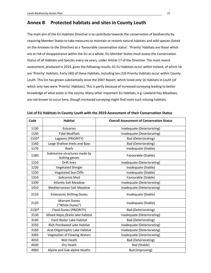## Annex B Protected habitats and sites in County Louth

The main aim of the EU Habitats Directive is to contribute towards the conservation of biodiversity by requiring Member States to take measures to maintain or restore natural habitats and wild species (listed on the Annexes to the Directive) at a 'favourable conservation status'. 'Priority' Habitats are those which are at risk of disappearance within the EU as a whole. EU Member States must assess the Conservation Status of all Habitats and Species every six years, under Article 17 of the Directive. The most recent assessment, produced in 2019, gives the following results: 61 EU Habitats occur within Ireland, of which 16 are 'Priority' Habitats. Forty (40) of these Habitats, including ten (10) Priority Habitats occur within County Louth. This list has grown substantially since the 2007 Report, which listed only 16 Habitats in Louth (of which only two were 'Priority' Habitats). This is partly because of increased surveying leading to better knowledge of what exists in the county. Many other important EU Habitats, e.g. Lowland Hay Meadows, are not known to occur here, though increased surveying might find more such missing habitats.

| Code  | <b>Habitat</b>                                 | <b>Overall Assessment of Conservation Status</b> |
|-------|------------------------------------------------|--------------------------------------------------|
| 1130  | Estuaries                                      | Inadequate (Deteriorating)                       |
| 1140  | <b>Tidal Mudflats</b>                          | Inadequate (Deteriorating)                       |
| 1150* | Lagoons (PRIORITY)                             | <b>Bad (Deteriorating)</b>                       |
| 1160  | Large Shallow Inlets and Bays                  | <b>Bad (Deteriorating)</b>                       |
| 1170  | Reefs                                          | Inadequate (Stable)                              |
| 1180  | Submarine structures made by<br>leaking gasses | Favourable (Stable)                              |
| 1210  | <b>Drift lines</b>                             | Inadequate (Deteriorating)                       |
| 1220  | Vegetated Shingle                              | Inadequate (Stable)                              |
| 1230  | <b>Vegetated Sea Cliffs</b>                    | Inadequate (Stable)                              |
| 1310  | Salicornia Mud                                 | Favourable (Stable)                              |
| 1330  | <b>Atlantic Salt Meadow</b>                    | Inadequate (Deteriorating)                       |
| 1410  | Mediterranean Salt Meadow                      | Inadequate (Deteriorating)                       |
| 2110  | <b>Embryonic Shifting Dunes</b>                | Inadequate (Stable)                              |
| 2120  | <b>Marram Dunes</b><br>("White Dunes")         | Inadequate (Stable)                              |
| 2130* | <b>Fixed Dunes (PRIORITY)</b>                  | <b>Bad (Deteriorating)</b>                       |
| 3130  | Mixed Najas flexilis lake habitat              | Inadequate (Deteriorating)                       |
| 3140  | Hard Water Lake Habitat                        | <b>Bad (Deteriorating)</b>                       |
| 3150  | Rich Pondweed Lake Habitat                     | Inadequate (Deteriorating)                       |
| 3160  | Acid Oligotrophic Lake Habitat                 | Inadequate (Deteriorating)                       |
| 3260  | <b>Vegetation of Flowing Waters</b>            | Inadequate (Deteriorating)                       |
| 4010  | Wet Heath                                      | <b>Bad (Deteriorating)</b>                       |
| 4030  | Dry Heath                                      | Bad (Stable)                                     |
| 4060  | Alpine and Sub-alpine Heaths                   | <b>Bad (Improving)</b>                           |

|  | List of EU Habitats in County Louth with the 2019 Assessment of their Conservation Status |
|--|-------------------------------------------------------------------------------------------|
|--|-------------------------------------------------------------------------------------------|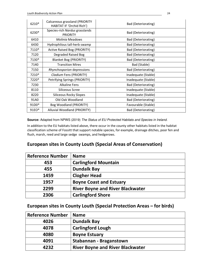| 6210* | Calcareous grassland (PRIORITY<br>HABITAT IF 'Orchid Rich') | <b>Bad (Deteriorating)</b> |
|-------|-------------------------------------------------------------|----------------------------|
| 6230* | Species-rich Nardus grasslands<br><b>PRIORITY</b>           | Bad (Deteriorating)        |
| 6410  | <b>Molinia Meadows</b>                                      | Bad (Deteriorating)        |
| 6430  | Hydrophilous tall-herb swamp                                | <b>Bad (Deteriorating)</b> |
| 7110* | <b>Active Raised Bog (PRIORITY)</b>                         | <b>Bad (Deteriorating)</b> |
| 7120  | Degraded Raised Bog                                         | <b>Bad (Deteriorating)</b> |
| 7130* | <b>Blanket Bog (PRIORITY)</b>                               | <b>Bad (Deteriorating)</b> |
| 7140  | <b>Transition Mires</b>                                     | Bad (Stable)               |
| 7150  | Rhynchosporion depressions                                  | <b>Bad (Deteriorating)</b> |
| 7210* | Cladium Fens (PRIORITY)                                     | Inadequate (Stable)        |
| 7220* | Petrifying Springs (PRIORITY)                               | Inadequate (Stable)        |
| 7230  | <b>Alkaline Fens</b>                                        | <b>Bad (Deteriorating)</b> |
| 8110  | Siliceous Scree                                             | Inadequate (Stable)        |
| 8220  | Siliceous Rocky Slopes                                      | Inadequate (Stable)        |
| 91A0  | Old Oak Woodland                                            | <b>Bad (Deteriorating)</b> |
| 91D0* | Bog Woodland (PRIORITY)                                     | Favourable (Stable)        |
| 91EO* | Alluvial Woodland (PRIORITY)                                | <b>Bad (Deteriorating)</b> |

**Source:** Adapted from NPWS (2019) The Status of EU Protected Habitats and Species in Ireland.

In addition to the EU habitats listed above, there occur in the county other habitats listed in the habitat classification scheme of Fossitt that support notable species, for example, drainage ditches, poor fen and flush, marsh, reed and large sedge swamps, and hedgerows.

# European sites in County Louth (Special Areas of Conservation)

| <b>Reference Number</b> | <b>Name</b>                             |
|-------------------------|-----------------------------------------|
| 453                     | <b>Carlingford Mountain</b>             |
| 455                     | <b>Dundalk Bay</b>                      |
| 1459                    | <b>Clogher Head</b>                     |
| 1957                    | <b>Boyne Coast and Estuary</b>          |
| 2299                    | <b>River Boyne and River Blackwater</b> |
| 2306                    | <b>Carlingford Shore</b>                |

### European sites in County Louth (Special Protection Areas – for birds)

| <b>Reference Number</b> | <b>Name</b>                             |
|-------------------------|-----------------------------------------|
| 4026                    | <b>Dundalk Bay</b>                      |
| 4078                    | <b>Carlingford Lough</b>                |
| 4080                    | <b>Boyne Estuary</b>                    |
| 4091                    | <b>Stabannan - Braganstown</b>          |
| 4232                    | <b>River Boyne and River Blackwater</b> |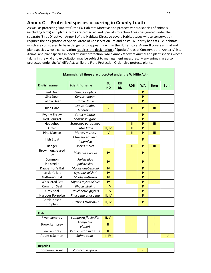# Annex C Protected species occurring in County Louth

As well as protecting 'Habitats', the EU Habitats Directive also protects various species of animals (excluding birds) and plants. Birds are protected and Special Protection Areas designated under the separate 'Birds Directive'. Annex I of the Habitats Directive covers Habitat types whose conservation requires the designation of Special Areas of Conservation. Ireland hosts 16 Priority habitats, i.e. habitats which are considered to be in danger of disappearing within the EU territory. Annex II covers animal and plant species whose conservation requires the designation of Special Areas of Conservation. Annex IV lists Animal and plant species in need of strict protection, while Annex V covers Animal and plant species whose taking in the wild and exploitation may be subject to management measures. Many animals are also protected under the Wildlife Act, while the Flora Protection Order also protects plants.

| Mammals (all these are protected under the Wildlife Act) |                              |           |                 |               |           |                |             |  |
|----------------------------------------------------------|------------------------------|-----------|-----------------|---------------|-----------|----------------|-------------|--|
| <b>English name</b>                                      | <b>Scientific name</b>       | EU<br>HD  | EU<br><b>BD</b> | <b>RDB</b>    | <b>WA</b> | <b>Bern</b>    | <b>Bonn</b> |  |
| <b>Red Deer</b>                                          | Cervus elaphus               |           |                 |               | P         |                |             |  |
| Sika Deer                                                | Cervus nippon                |           |                 |               | P         |                |             |  |
| <b>Fallow Deer</b>                                       | Dama dama                    |           |                 |               | P         |                |             |  |
| <b>Irish Hare</b>                                        | Lepus timidus<br>hibernicus  | $\vee$    |                 | Ш             | P         | $\mathbf{III}$ |             |  |
| Pygmy Shrew                                              | Sorex minutus                |           |                 |               | P         |                |             |  |
| <b>Red Squirrel</b>                                      | Sciurus vulgaris             |           |                 |               | P         |                |             |  |
| Hedgehog                                                 | Erinaceus europaeus          |           |                 | $\mathbf{II}$ | P         | $\mathbf{m}$   |             |  |
| Otter                                                    | Lutra lutra                  | II, IV    |                 | $\mathbf{II}$ | P         | $\mathbf{II}$  |             |  |
| Pine Marten                                              | Martes martes                | $\vee$    |                 | $\mathbf{II}$ | P         | $\mathbf{III}$ |             |  |
| <b>Irish Stoat</b>                                       | Mustela erminea<br>hibernica |           |                 |               | P         |                |             |  |
| Badger                                                   | Meles meles                  |           |                 | $\mathbf{I}$  | P         | $\mathbf{m}$   |             |  |
| Brown long-eared<br><b>Bat</b>                           | Plecotus auritus             | <b>IV</b> |                 | Т             | P         | $\mathbf{H}$   |             |  |
| Common<br>Pipistrelle                                    | Pipistrellus<br>pipistrellus | IV        |                 | T             | P         | Ш              |             |  |
| Daubenton's Bat                                          | Myotis daubentoni            | <b>IV</b> |                 | T             | P         | Ш              |             |  |
| Leisler's Bat                                            | Nyctalus leisleri            | IV        |                 |               | P         | $\mathbf{II}$  |             |  |
| Natterer's Bat                                           | Myotis nattereri             | IV        |                 | T             | P         | $\mathbf{II}$  |             |  |
| <b>Whiskered Bat</b>                                     | Myotis mystancinus           | <b>IV</b> |                 |               | P         | $\mathbf{H}$   |             |  |
| Common Seal                                              | Phoca vitulina               | II, V     |                 |               | P         |                |             |  |
| Grey Seal                                                | Halichoerus grypus           | II, V     |                 |               | P         |                |             |  |
| Harbour Porpoise                                         | Phocoena phocoena            | II, IV    |                 |               | P         |                |             |  |
| Bottle-nosed<br>Dolphin                                  | Tursiops truncatus           | II, IV    |                 |               | P         |                |             |  |

| Fish                   |                      |        |  |   |  |
|------------------------|----------------------|--------|--|---|--|
| River Lamprey          | Lampetra fluviatilis | II, V  |  | Ш |  |
| <b>Brook Lamprey</b>   | Lampetra<br>planeri  |        |  | Ш |  |
| Sea Lamprey            | Petromyzon marinus   | Ш      |  | Ш |  |
| <b>Atlantic Salmon</b> | Salmo salar          | II. IV |  |   |  |

| <b>Reptiles</b> |                  |  |  |  |
|-----------------|------------------|--|--|--|
| Common Lizard   | Zootoca vivipara |  |  |  |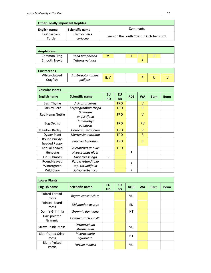| <b>Other Locally Important Reptiles</b> |                                |                                          |  |  |  |  |
|-----------------------------------------|--------------------------------|------------------------------------------|--|--|--|--|
| <b>English name</b>                     | <b>Scientific name</b>         | <b>Comments</b>                          |  |  |  |  |
| Leatherback<br>Turtle                   | <b>Dermocheles</b><br>coriacea | Seen on the Louth Coast in October 2001. |  |  |  |  |

| <b>Amphibians</b> |                   |  |   |   |  |
|-------------------|-------------------|--|---|---|--|
| Common Frog       | Rana temporaria   |  | D | Ш |  |
| Smooth Newt       | Triturus vulgaris |  | D |   |  |

| <b>Crustaceans</b> |                  |           |  |  |  |
|--------------------|------------------|-----------|--|--|--|
| White-clawed       | Austropotamobius | П, 1<br>v |  |  |  |
| Cravfish           | pallipes         |           |  |  |  |

| <b>Vascular Plants</b>         |                                          |                        |                        |            |              |             |             |
|--------------------------------|------------------------------------------|------------------------|------------------------|------------|--------------|-------------|-------------|
| <b>English name</b>            | <b>Scientific name</b>                   | <b>EU</b><br><b>HD</b> | <b>EU</b><br><b>BD</b> | <b>RDB</b> | <b>WA</b>    | <b>Bern</b> | <b>Bonn</b> |
| <b>Basil Thyme</b>             | Acinos arvensis                          |                        | <b>FPO</b>             |            | v            |             |             |
| Parsley Fern                   | Cryptogramma crispa                      |                        | <b>FPO</b>             |            | $\mathsf{R}$ |             |             |
| Red Hemp Nettle                | Galeopsis<br>angustifolia                |                        | <b>FPO</b>             |            | v            |             |             |
| Bog Orchid                     | Hammarbya<br>paludosa                    |                        | <b>FPO</b>             |            | <b>RV</b>    |             |             |
| <b>Meadow Barley</b>           | Hordeum secalinum                        |                        | <b>FPO</b>             |            | $\vee$       |             |             |
| <b>Oyster Plant</b>            | Mertensia maritima                       |                        | <b>FPO</b>             |            | R            |             |             |
| Round Prickly-<br>headed Poppy | Papaver hybridum                         |                        | <b>FPO</b>             |            | E            |             |             |
| Annual Knawel                  | Scleranthus annuus                       |                        | <b>FPO</b>             |            |              |             |             |
| Henbane                        | Hyoscyamus niger                         |                        |                        | R          |              |             |             |
| Fir Clubmoss                   | Huperzia selago                          | v                      |                        |            |              |             |             |
| Round-leaved<br>Wintergreen    | Pyrola rotundifolia<br>ssp. rotundifolia |                        |                        | R          |              |             |             |
| Wild Clary                     | Salvia verbenaca                         |                        |                        | R          |              |             |             |

| <b>Lower Plants</b>            |                            |                        |                        |            |           |             |             |
|--------------------------------|----------------------------|------------------------|------------------------|------------|-----------|-------------|-------------|
| <b>English name</b>            | <b>Scientific name</b>     | <b>EU</b><br><b>HD</b> | <b>EU</b><br><b>BD</b> | <b>RDB</b> | <b>WA</b> | <b>Bern</b> | <b>Bonn</b> |
| <b>Tufted Thread-</b><br>moss  | Bryum caespiticium         |                        |                        | VU         |           |             |             |
| Pointed Beard-<br>moss         | Didymodon acutus           |                        |                        | EN         |           |             |             |
| Donn's Grimmia                 | Grimmia donniana           |                        |                        | <b>NT</b>  |           |             |             |
| Hair-pointed<br>Grimmia        | Grimmia trichophylla       |                        |                        |            |           |             |             |
| <b>Straw Bristle-moss</b>      | Orthotrichum<br>stramineum |                        |                        | VU         |           |             |             |
| Side-fruited Crisp-            | Pleurochaete               |                        |                        | <b>NT</b>  |           |             |             |
| moss                           | squarrosa                  |                        |                        |            |           |             |             |
| <b>Blunt-fruited</b><br>Pottia | Tortula modica             |                        |                        | VU         |           |             |             |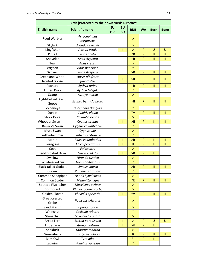| Birds (Protected by their own 'Birds Directive' |                        |           |           |               |              |               |               |
|-------------------------------------------------|------------------------|-----------|-----------|---------------|--------------|---------------|---------------|
| <b>English name</b>                             | <b>Scientific name</b> | <b>EU</b> | EU        | <b>RDB</b>    | <b>WA</b>    | <b>Bern</b>   | <b>Bonn</b>   |
|                                                 |                        | HD        | <b>BD</b> |               |              |               |               |
| <b>Reed Warbler</b>                             | Acrocephalus           |           |           | >             |              |               |               |
|                                                 | scirpaceus             |           |           |               |              |               |               |
| Skylark                                         | Alauda arvensis        |           |           | >             |              |               |               |
| Kingfisher                                      | Alcedo atthis          |           | L         | $\geq$        | P            | U             | U             |
| Pintail                                         | Anas acuta             |           |           | $*R$          | P            | Ш             | $\mathbf{II}$ |
| Shoveler                                        | Anas clypeata          |           |           | $*R$          | P            | Ш             | $\mathbf{II}$ |
| Teal                                            | Anas crecca            |           |           | ×             |              |               |               |
| Wigeon                                          | Anas penelope          |           |           | $\ast$        |              |               |               |
| Gadwall                                         | Anas strepera          |           |           | >R            | P            | Ш             | Ш             |
| Greenland White-                                | Anser albifrons        |           | T         | ЫI            | P            | III           | $\mathbf{II}$ |
| fronted Goose                                   | flavirostris           |           |           |               |              |               |               |
| Pochard                                         | Aythya ferina          |           |           | $*R$          | P            | Ш             | Ш             |
| <b>Tufted Duck</b>                              | Aythya fuligula        |           |           | $\ast$        |              |               |               |
| Scaup                                           | Aythya marila          |           |           | >             |              |               |               |
| Light-bellied Brent<br>Goose                    | Branta bernicla hrota  |           |           | ≻ll           | P            | III           | $\mathbf{H}$  |
| Goldeneye                                       | Bucephala clangula     |           |           | $\ast$        |              |               |               |
| Dunlin                                          | Calidris alpina        |           |           | $*V$          | P            | III           | $\mathbf{H}$  |
| <b>Stock Dove</b>                               | Columba oenas          |           |           | >             |              |               |               |
| Whooper Swan                                    | Cygnus cygnus          |           | T         | >11           | P            | $\mathbf{II}$ | $\mathbf{H}$  |
| Bewick's Swan                                   | Cygnus columbianus     |           |           | $\ast$        |              |               |               |
| Mute Swan                                       | Cygnus olor            |           |           | ⋗             |              |               |               |
| Yellowhammer                                    | Emberiza citrinella    |           |           | $\ast$        |              |               |               |
| Merlin                                          | Falco columbarius      |           | T         | >R            | P            | $\mathbf{II}$ | п             |
| Peregrine                                       | Falco peregrinus       |           | T         | $\mathbf{II}$ | P            | $\mathbf{II}$ | $\mathbf{II}$ |
| Coot                                            | Fulica atra            |           |           | $\, > \,$     |              |               |               |
| Red-throated Diver                              | Gavia stellata         |           | T         | >R            | P            | $\mathbf{II}$ |               |
| Swallow                                         | Hirundo rustica        |           |           | >             |              |               |               |
| <b>Black-headed Gull</b>                        | Larus ridibundus       |           |           | $\ast$        |              |               |               |
| <b>Black-tailed Godwit</b>                      | Limosa limosa          |           |           | >R            | P            | Ш             | $\mathbf{H}$  |
| Curlew                                          | Numenius arquata       |           |           | $\ast$        |              |               |               |
| Common Sandpiper                                | Actitis hypoleucos     |           |           | $\geq$        |              |               |               |
| Common Scoter                                   | Melanitta nigra        |           |           | $E^*$         | P            | Ш             | Ш             |
| Spotted Flycatcher                              | Muscicapa striata      |           |           | ×             |              |               |               |
| Cormorant                                       | Phalacrocorax carbo    |           |           | >             |              |               |               |
| Golden Plover                                   | Pluvialis apricaria    |           | T         | $*V$          | $\mathsf{P}$ | Ш             | $\mathbf{II}$ |
| Great-crested                                   |                        |           |           |               |              |               |               |
| Grebe                                           | Podiceps cristatus     |           |           | ⋗             |              |               |               |
| Sand Martin                                     | Riparia riparia        |           |           | >             |              |               |               |
| Whinchat                                        | Saxicola rubetra       |           |           | $\ast$        |              |               |               |
| Stonechat                                       | Saxicola torquata      |           |           | >             |              |               |               |
| Arctic Tern                                     | Sterna paradisaea      |           | L         | >             | P            | U             | U             |
| Little Tern                                     | Sterna albifrons       |           | I         | > 0           | P            | Ш             |               |
| Shelduck                                        | Tadorna tadorna        |           |           | $\geq$        |              |               |               |
| Greenshank                                      | Tringa nebularia       |           |           | $\mathsf{R}$  | $\mathsf{P}$ | Ш             | $\mathbf{II}$ |
| Barn Owl                                        | Tyto alba              |           |           | $*1$          | P            | $\mathbf{II}$ |               |
| Lapwing                                         | Vanellus vanellus      |           |           | $\ast$        |              |               |               |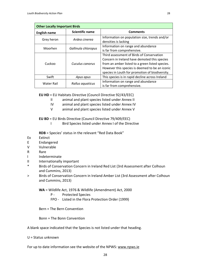| <b>Other Locally Important Birds</b> |                        |                                                                       |  |  |  |
|--------------------------------------|------------------------|-----------------------------------------------------------------------|--|--|--|
| English name                         | <b>Scientific name</b> | <b>Comments</b>                                                       |  |  |  |
| Grey heron                           | Ardea cinerea          | Information on population size, trends and/or<br>densities is lacking |  |  |  |
| Moorhen                              | Gallinula chloropus    | Information on range and abundance                                    |  |  |  |
|                                      |                        | is far from comprehensive.                                            |  |  |  |
| Cuckoo                               |                        | Third assessment of Birds of Conservation                             |  |  |  |
|                                      |                        | Concern in Ireland have demoted this species                          |  |  |  |
|                                      | Cuculus canorus        | from an amber listed to a green listed species.                       |  |  |  |
|                                      |                        | However this species is deemed to be an iconic                        |  |  |  |
|                                      |                        | species in Louth for promotion of biodiversity.                       |  |  |  |
| Swift                                | Apus apus              | This species is in rapid decline across Ireland                       |  |  |  |
| <b>Water Rail</b>                    |                        | Information on range and abundance                                    |  |  |  |
|                                      | Rallus aguaticus       | is far from comprehensive.                                            |  |  |  |

EU HD = EU Habitats Directive (Council Directive 92/43/EEC)

- II animal and plant species listed under Annex II
- IV animal and plant species listed under Annex IV
- V animal and plant species listed under Annex V

EU BD = EU Birds Directive (Council Directive 79/409/EEC)

I Bird Species listed under Annex I of the Directive

RDB = Species' status in the relevant "Red Data Book"

- Ex Extinct
- E Endangered
- V Vulnerable
- R Rare
- I Indeterminate
- II Internationally important
- \* Birds of Conservation Concern in Ireland Red List (3rd Assessment after Colhoun and Cummins, 2013)
- > Birds of Conservation Concern in Ireland Amber List (3rd Assessment after Colhoun and Cummins, 2013)
	- WA = Wildlife Act, 1976 & Wildlife (Amendment) Act, 2000
		- P Protected Species
		- FPO Listed in the Flora Protection Order (1999)

Bern = The Bern Convention

Bonn = The Bonn Convention

#### A blank space indicated that the Species is not listed under that heading.

U = Status unknown

For up to date information see the website of the NPWS: www.npws.ie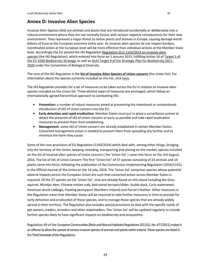## Annex D: Invasive Alien Species

Invasive Alien Species (IAS) are animals and plants that are introduced accidentally or deliberately into a natural environment where they are not normally found, with serious negative consequences for their new environment. They represent a major threat to native plants and animals in Europe, causing damage worth billions of Euro to the European economy every year. As invasive alien species do not respect borders, coordinated action at the European level will be more effective than individual actions at the Member State level. Accordingly the EU passed the IAS Regulation Regulation (EU) 1143/2014 on invasive alien species (the IAS Regulation), which entered into force on 1 January 2015, fulfilling Action 16 of Target 5 of the EU 2020 Biodiversity Strategy, as well as Aichi Target 9 of the Strategic Plan for Biodiversity 2011-2020 under the Convention of Biological Diversity.

The core of the IAS Regulation is the list of Invasive Alien Species of Union concern (the Union list). For information about the species currently included on this list, click here.

The IAS Regulation provides for a set of measures to be taken across the EU in relation to invasive alien species included on the Union list. Three distinct types of measures are envisaged, which follow an internationally agreed hierarchical approach to combatting IAS:

- **Prevention:** a number of robust measures aimed at preventing the intentional or unintentional introduction of IAS of Union concern into the EU.
- Early detection and rapid eradication: Member States must put in place a surveillance system to detect the presence of IAS of Union concern as early as possible and take rapid eradication measures to prevent them from establishing.
- Management: some IAS of Union concern are already established in certain Member States. Concerted management action is needed to prevent them from spreading any further and to minimize the harm they cause.

Some of the core provisions of EU Regulation (1143/2014) which deal with, among other things, bringing into the territory of the Union, keeping, breeding, transporting and placing on the market, species included on the list of invasive alien species of Union concern ( the 'Union list' ) came into force on the 3rd August, 2016. The list of IAS of Union Concern The first "Union list" of 37 species consisting of 23 animals and 14 plants came into force, following the publication of the Commission Implementing Regulation (2016/1141), in the Official Journal of the Union on the 14 July, 2016. The 'Union list' comprises species whose potential adverse impacts across the European Union are such that concerted action across Member States is required. Of the 37 species on the 'Union list', nine are already found on this island including the Grey squirrel, Muntjac deer, Chinese mitten crab, Red-eared terrapin/slider, Ruddy duck, Curly waterweed, American skunk cabbage, Floating pennywort (Northern Ireland) and Parrot's feather. Other measures in the Regulation mean that Member States will be required to take further measures in time to provide for early detection and eradication of these species, and to manage those species that are already widely spread in their territory. The Regulation also includes special provisions to deal with the specific needs of pet owners, traders, breeders and other stakeholders. The 'Union list' will be updated regularly to include further species likely to have significant impacts on biodiversity and ecosystems.

Regulation 49 of the European Communities (Birds and Natural Habitats) Regulations 2011(S.I. No. 477/2011) makes it an offence to allow the spread of various invasive species of animals and plants within Ireland. These species are listed in the Third Schedule of the Regulations.